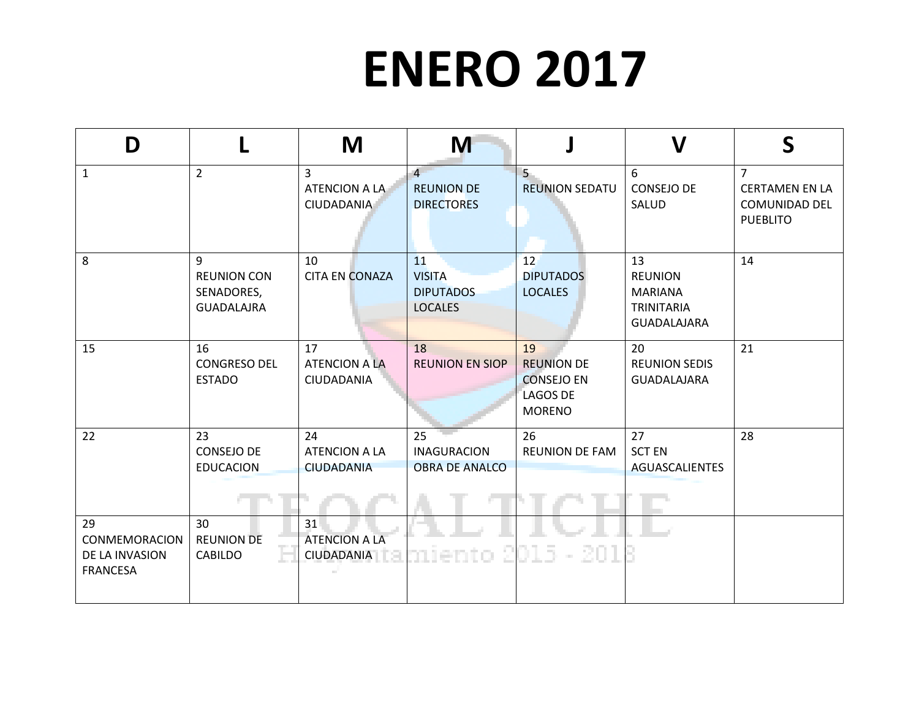## **ENERO 2017**

| D                                                               |                                                            | M                                                    | M                                                         |                                                                                  | V                                                                                 | S                                                                                  |
|-----------------------------------------------------------------|------------------------------------------------------------|------------------------------------------------------|-----------------------------------------------------------|----------------------------------------------------------------------------------|-----------------------------------------------------------------------------------|------------------------------------------------------------------------------------|
| $\mathbf{1}$                                                    | $\overline{2}$                                             | $\overline{3}$<br>ATENCION A LA<br><b>CIUDADANIA</b> | $\overline{4}$<br><b>REUNION DE</b><br><b>DIRECTORES</b>  | $5 -$<br><b>REUNION SEDATU</b>                                                   | 6<br><b>CONSEJO DE</b><br>SALUD                                                   | $\overline{7}$<br><b>CERTAMEN EN LA</b><br><b>COMUNIDAD DEL</b><br><b>PUEBLITO</b> |
| 8                                                               | 9<br><b>REUNION CON</b><br>SENADORES,<br><b>GUADALAJRA</b> | 10<br><b>CITA EN CONAZA</b>                          | 11<br><b>VISITA</b><br><b>DIPUTADOS</b><br><b>LOCALES</b> | 12<br><b>DIPUTADOS</b><br><b>LOCALES</b>                                         | 13<br><b>REUNION</b><br><b>MARIANA</b><br><b>TRINITARIA</b><br><b>GUADALAJARA</b> | 14                                                                                 |
| 15                                                              | 16<br><b>CONGRESO DEL</b><br><b>ESTADO</b>                 | 17<br><b>ATENCION A LA</b><br>CIUDADANIA             | 18<br><b>REUNION EN SIOP</b>                              | 19<br><b>REUNION DE</b><br><b>CONSEJO EN</b><br><b>LAGOS DE</b><br><b>MORENO</b> | 20<br><b>REUNION SEDIS</b><br><b>GUADALAJARA</b>                                  | 21                                                                                 |
| 22                                                              | 23<br><b>CONSEJO DE</b><br><b>EDUCACION</b>                | 24<br><b>ATENCION A LA</b><br><b>CIUDADANIA</b>      | 25<br><b>INAGURACION</b><br><b>OBRA DE ANALCO</b>         | 26<br><b>REUNION DE FAM</b>                                                      | 27<br><b>SCT EN</b><br><b>AGUASCALIENTES</b>                                      | 28                                                                                 |
| 29<br><b>CONMEMORACION</b><br>DE LA INVASION<br><b>FRANCESA</b> | 30<br><b>REUNION DE</b><br><b>CABILDO</b>                  | 31<br><b>ATENCION A LA</b><br><b>CIUDADANIA</b>      | n lento.                                                  | $2015 - 201$                                                                     |                                                                                   |                                                                                    |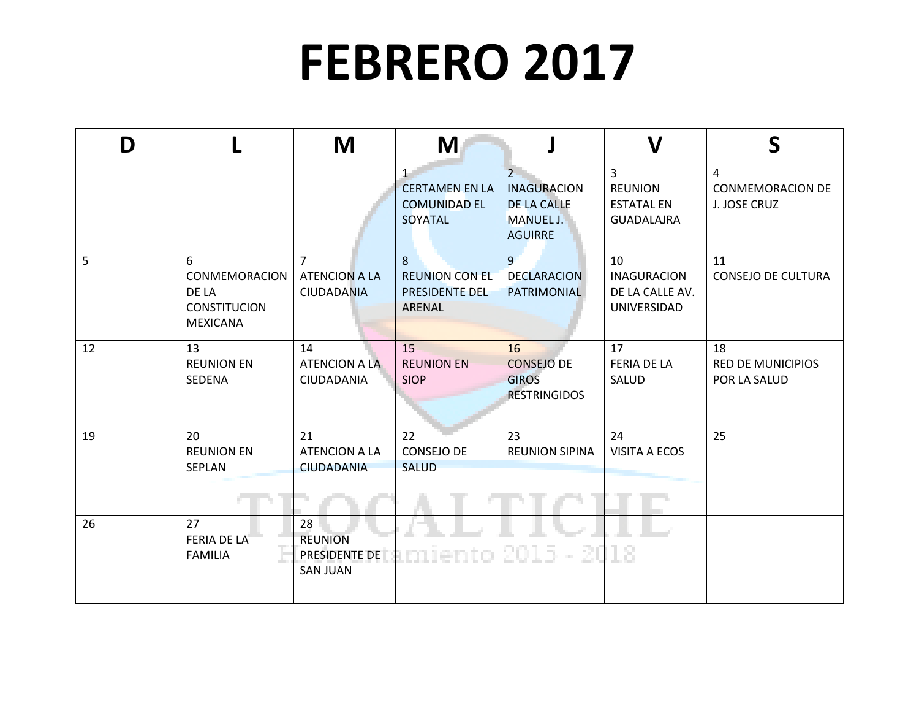## **FEBRERO 2017**

| D  |                                                                              | M                                                           | M                                                               |                                                                                               | $\mathbf V$                                                                | S                                              |
|----|------------------------------------------------------------------------------|-------------------------------------------------------------|-----------------------------------------------------------------|-----------------------------------------------------------------------------------------------|----------------------------------------------------------------------------|------------------------------------------------|
|    |                                                                              |                                                             | $1-$<br><b>CERTAMEN EN LA</b><br><b>COMUNIDAD EL</b><br>SOYATAL | $2^{\circ}$<br><b>INAGURACION</b><br><b>DE LA CALLE</b><br><b>MANUEL J.</b><br><b>AGUIRRE</b> | $\overline{3}$<br><b>REUNION</b><br><b>ESTATAL EN</b><br><b>GUADALAJRA</b> | 4<br><b>CONMEMORACION DE</b><br>J. JOSE CRUZ   |
| 5  | 6<br><b>CONMEMORACION</b><br>DE LA<br><b>CONSTITUCION</b><br><b>MEXICANA</b> | $\overline{7}$<br><b>ATENCION A LA</b><br><b>CIUDADANIA</b> | 8<br><b>REUNION CON EL</b><br>PRESIDENTE DEL<br>ARENAL          | 9<br><b>DECLARACION</b><br>PATRIMONIAL                                                        | 10<br><b>INAGURACION</b><br>DE LA CALLE AV.<br>UNIVERSIDAD                 | 11<br><b>CONSEJO DE CULTURA</b>                |
| 12 | 13<br><b>REUNION EN</b><br>SEDENA                                            | 14<br><b>ATENCION A LA</b><br>CIUDADANIA                    | 15<br><b>REUNION EN</b><br><b>SIOP</b>                          | 16<br><b>CONSEJO DE</b><br><b>GIROS</b><br><b>RESTRINGIDOS</b>                                | 17<br><b>FERIA DE LA</b><br>SALUD                                          | 18<br><b>RED DE MUNICIPIOS</b><br>POR LA SALUD |
| 19 | 20<br><b>REUNION EN</b><br>SEPLAN                                            | 21<br><b>ATENCION A LA</b><br><b>CIUDADANIA</b>             | 22<br><b>CONSEJO DE</b><br><b>SALUD</b>                         | 23<br><b>REUNION SIPINA</b>                                                                   | 24<br><b>VISITA A ECOS</b>                                                 | 25                                             |
| 26 | 27<br><b>FERIA DE LA</b><br><b>FAMILIA</b>                                   | 28<br><b>REUNION</b><br>PRESIDENTE DE<br><b>SAN JUAN</b>    | 16510                                                           | 2015 - 2018                                                                                   |                                                                            |                                                |